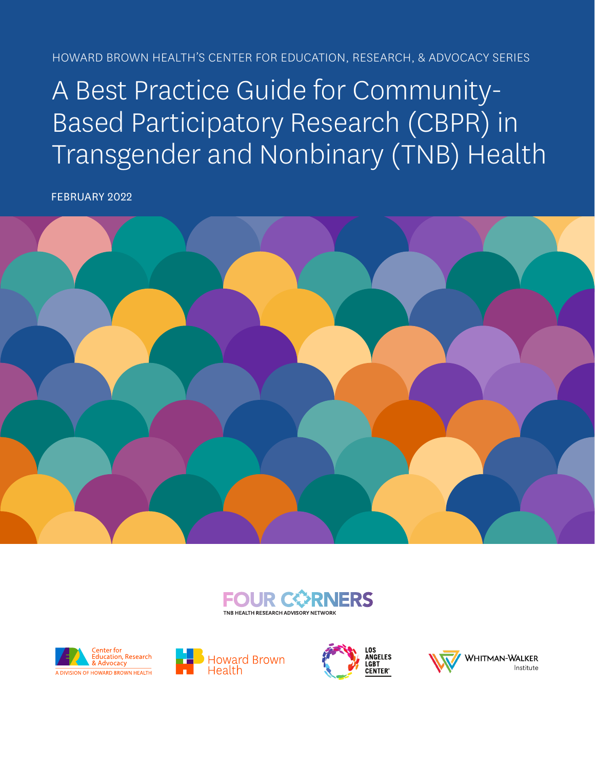HOWARD BROWN HEALTH'S CENTER FOR EDUCATION, RESEARCH, & ADVOCACY SERIES

# A Best Practice Guide for Community-Based Participatory Research (CBPR) in Transgender and Nonbinary (TNB) Health

FEBRUARY 2022











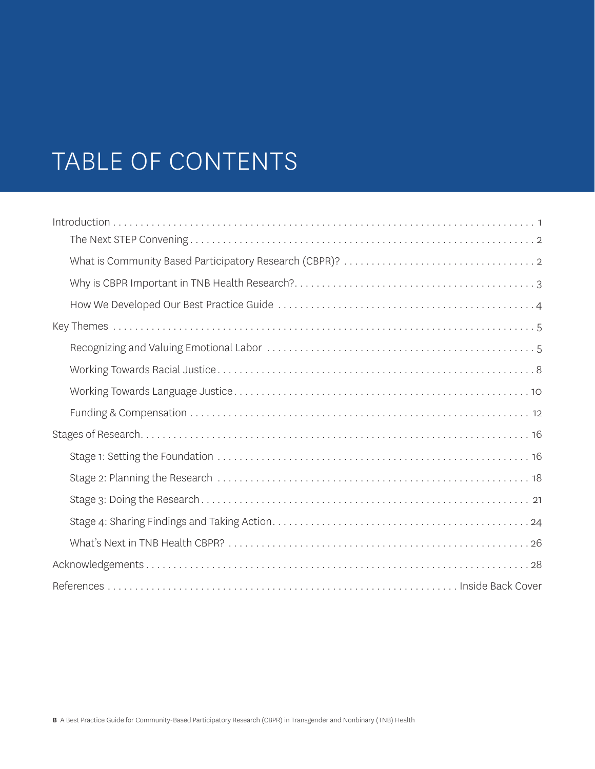# TABLE OF CONTENTS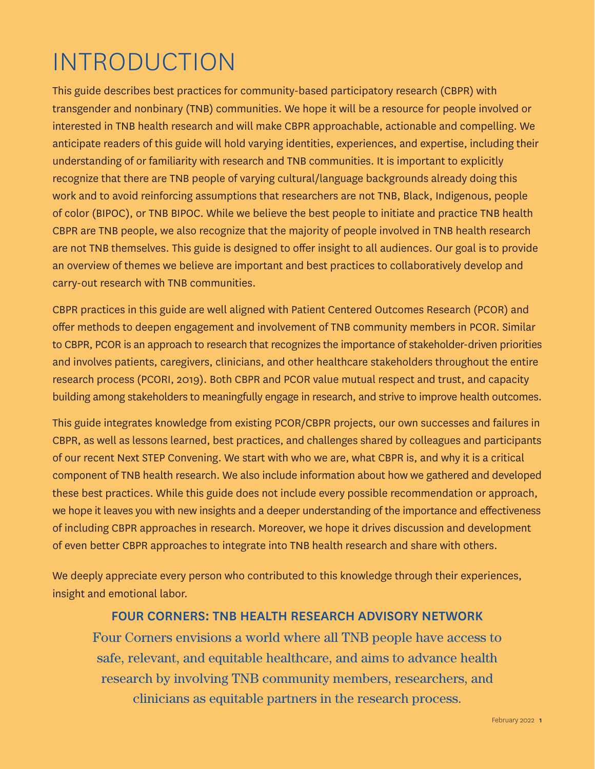# INTRODUCTION

This guide describes best practices for community-based participatory research (CBPR) with transgender and nonbinary (TNB) communities. We hope it will be a resource for people involved or interested in TNB health research and will make CBPR approachable, actionable and compelling. We anticipate readers of this guide will hold varying identities, experiences, and expertise, including their understanding of or familiarity with research and TNB communities. It is important to explicitly recognize that there are TNB people of varying cultural/language backgrounds already doing this work and to avoid reinforcing assumptions that researchers are not TNB, Black, Indigenous, people of color (BIPOC), or TNB BIPOC. While we believe the best people to initiate and practice TNB health CBPR are TNB people, we also recognize that the majority of people involved in TNB health research are not TNB themselves. This guide is designed to offer insight to all audiences. Our goal is to provide an overview of themes we believe are important and best practices to collaboratively develop and carry-out research with TNB communities.

CBPR practices in this guide are well aligned with Patient Centered Outcomes Research (PCOR) and offer methods to deepen engagement and involvement of TNB community members in PCOR. Similar to CBPR, PCOR is an approach to research that recognizes the importance of stakeholder-driven priorities and involves patients, caregivers, clinicians, and other healthcare stakeholders throughout the entire research process (PCORI, 2019). Both CBPR and PCOR value mutual respect and trust, and capacity building among stakeholders to meaningfully engage in research, and strive to improve health outcomes.

This guide integrates knowledge from existing PCOR/CBPR projects, our own successes and failures in CBPR, as well as lessons learned, best practices, and challenges shared by colleagues and participants of our recent Next STEP Convening. We start with who we are, what CBPR is, and why it is a critical component of TNB health research. We also include information about how we gathered and developed these best practices. While this guide does not include every possible recommendation or approach, we hope it leaves you with new insights and a deeper understanding of the importance and effectiveness of including CBPR approaches in research. Moreover, we hope it drives discussion and development of even better CBPR approaches to integrate into TNB health research and share with others.

We deeply appreciate every person who contributed to this knowledge through their experiences, insight and emotional labor.

#### FOUR CORNERS: TNB HEALTH RESEARCH ADVISORY NETWORK

Four Corners envisions a world where all TNB people have access to safe, relevant, and equitable healthcare, and aims to advance health research by involving TNB community members, researchers, and clinicians as equitable partners in the research process.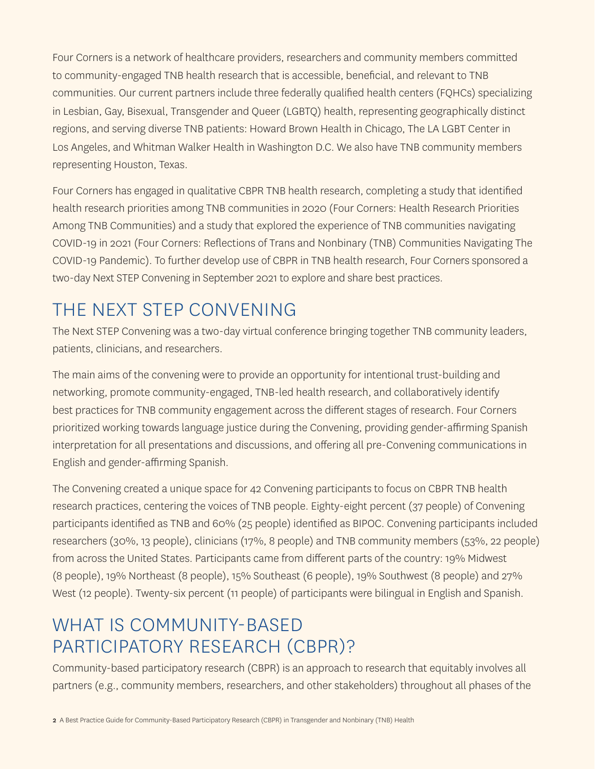Four Corners is a network of healthcare providers, researchers and community members committed to community-engaged TNB health research that is accessible, beneficial, and relevant to TNB communities. Our current partners include three federally qualified health centers (FQHCs) specializing in Lesbian, Gay, Bisexual, Transgender and Queer (LGBTQ) health, representing geographically distinct regions, and serving diverse TNB patients: Howard Brown Health in Chicago, The LA LGBT Center in Los Angeles, and Whitman Walker Health in Washington D.C. We also have TNB community members representing Houston, Texas.

Four Corners has engaged in qualitative CBPR TNB health research, completing a study that identified health research priorities among TNB communities in 2020 ([Four Corners: Health Research Priorities](https://howardbrown.org/wp-content/uploads/2021/03/FourCorners-HealthResearchPrioritiesAmongTNBCommunities_Final_3_21.pdf)  [Among TNB Communities](https://howardbrown.org/wp-content/uploads/2021/03/FourCorners-HealthResearchPrioritiesAmongTNBCommunities_Final_3_21.pdf)) and a study that explored the experience of TNB communities navigating COVID-19 in 2021 ([Four Corners: Reflections of Trans and Nonbinary \(TNB\) Communities Navigating The](https://howardbrown.org/wp-content/uploads/2021/10/FourCorners_Reflections_COVID-19_FINAL.pdf)  [COVID-19 Pandemic\)](https://howardbrown.org/wp-content/uploads/2021/10/FourCorners_Reflections_COVID-19_FINAL.pdf). To further develop use of CBPR in TNB health research, Four Corners sponsored a two-day Next STEP Convening in September 2021 to explore and share best practices.

## THE NEXT STEP CONVENING

The Next STEP Convening was a two-day virtual conference bringing together TNB community leaders, patients, clinicians, and researchers.

The main aims of the convening were to provide an opportunity for intentional trust-building and networking, promote community-engaged, TNB-led health research, and collaboratively identify best practices for TNB community engagement across the different stages of research. Four Corners prioritized working towards language justice during the Convening, providing gender-affirming Spanish interpretation for all presentations and discussions, and offering all pre-Convening communications in English and gender-affirming Spanish.

The Convening created a unique space for 42 Convening participants to focus on CBPR TNB health research practices, centering the voices of TNB people. Eighty-eight percent (37 people) of Convening participants identified as TNB and 60% (25 people) identified as BIPOC. Convening participants included researchers (30%, 13 people), clinicians (17%, 8 people) and TNB community members (53%, 22 people) from across the United States. Participants came from different parts of the country: 19% Midwest (8 people), 19% Northeast (8 people), 15% Southeast (6 people), 19% Southwest (8 people) and 27% West (12 people). Twenty-six percent (11 people) of participants were bilingual in English and Spanish.

## WHAT IS COMMUNITY-BASED PARTICIPATORY RESEARCH (CBPR)?

Community-based participatory research (CBPR) is an approach to research that equitably involves all partners (e.g., community members, researchers, and other stakeholders) throughout all phases of the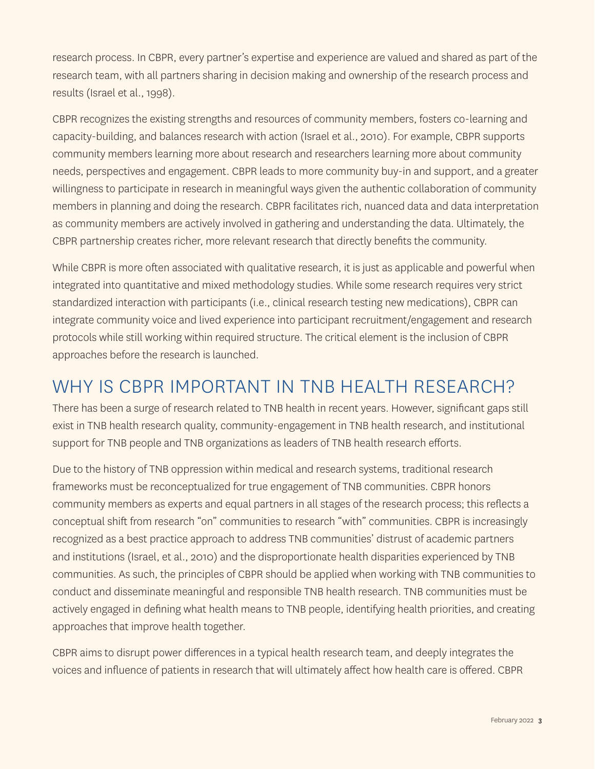research process. In CBPR, every partner's expertise and experience are valued and shared as part of the research team, with all partners sharing in decision making and ownership of the research process and results (Israel et al., 1998).

CBPR recognizes the existing strengths and resources of community members, fosters co-learning and capacity-building, and balances research with action (Israel et al., 2010). For example, CBPR supports community members learning more about research and researchers learning more about community needs, perspectives and engagement. CBPR leads to more community buy-in and support, and a greater willingness to participate in research in meaningful ways given the authentic collaboration of community members in planning and doing the research. CBPR facilitates rich, nuanced data and data interpretation as community members are actively involved in gathering and understanding the data. Ultimately, the CBPR partnership creates richer, more relevant research that directly benefits the community.

While CBPR is more often associated with qualitative research, it is just as applicable and powerful when integrated into quantitative and mixed methodology studies. While some research requires very strict standardized interaction with participants (i.e., clinical research testing new medications), CBPR can integrate community voice and lived experience into participant recruitment/engagement and research protocols while still working within required structure. The critical element is the inclusion of CBPR approaches before the research is launched.

### WHY IS CBPR IMPORTANT IN TNB HEALTH RESEARCH?

There has been a surge of research related to TNB health in recent years. However, significant gaps still exist in TNB health research quality, community-engagement in TNB health research, and institutional support for TNB people and TNB organizations as leaders of TNB health research efforts.

Due to the history of TNB oppression within medical and research systems, traditional research frameworks must be reconceptualized for true engagement of TNB communities. CBPR honors community members as experts and equal partners in all stages of the research process; this reflects a conceptual shift from research "on" communities to research "with" communities. CBPR is increasingly recognized as a best practice approach to address TNB communities' distrust of academic partners and institutions (Israel, et al., 2010) and the disproportionate health disparities experienced by TNB communities. As such, the principles of CBPR should be applied when working with TNB communities to conduct and disseminate meaningful and responsible TNB health research. TNB communities must be actively engaged in defining what health means to TNB people, identifying health priorities, and creating approaches that improve health together.

CBPR aims to disrupt power differences in a typical health research team, and deeply integrates the voices and influence of patients in research that will ultimately affect how health care is offered. CBPR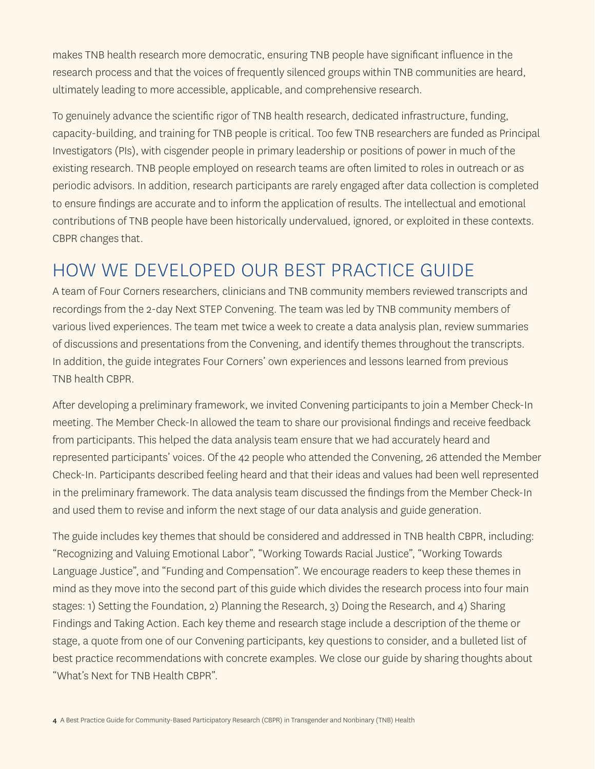makes TNB health research more democratic, ensuring TNB people have significant influence in the research process and that the voices of frequently silenced groups within TNB communities are heard, ultimately leading to more accessible, applicable, and comprehensive research.

To genuinely advance the scientific rigor of TNB health research, dedicated infrastructure, funding, capacity-building, and training for TNB people is critical. Too few TNB researchers are funded as Principal Investigators (PIs), with cisgender people in primary leadership or positions of power in much of the existing research. TNB people employed on research teams are often limited to roles in outreach or as periodic advisors. In addition, research participants are rarely engaged after data collection is completed to ensure findings are accurate and to inform the application of results. The intellectual and emotional contributions of TNB people have been historically undervalued, ignored, or exploited in these contexts. CBPR changes that.

### HOW WE DEVELOPED OUR BEST PRACTICE GUIDE

A team of Four Corners researchers, clinicians and TNB community members reviewed transcripts and recordings from the 2-day Next STEP Convening. The team was led by TNB community members of various lived experiences. The team met twice a week to create a data analysis plan, review summaries of discussions and presentations from the Convening, and identify themes throughout the transcripts. In addition, the guide integrates Four Corners' own experiences and lessons learned from previous TNB health CBPR.

After developing a preliminary framework, we invited Convening participants to join a Member Check-In meeting. The Member Check-In allowed the team to share our provisional findings and receive feedback from participants. This helped the data analysis team ensure that we had accurately heard and represented participants' voices. Of the 42 people who attended the Convening, 26 attended the Member Check-In. Participants described feeling heard and that their ideas and values had been well represented in the preliminary framework. The data analysis team discussed the findings from the Member Check-In and used them to revise and inform the next stage of our data analysis and guide generation.

The guide includes key themes that should be considered and addressed in TNB health CBPR, including: "Recognizing and Valuing Emotional Labor", "Working Towards Racial Justice", "Working Towards Language Justice", and "Funding and Compensation". We encourage readers to keep these themes in mind as they move into the second part of this guide which divides the research process into four main stages: 1) Setting the Foundation, 2) Planning the Research, 3) Doing the Research, and 4) Sharing Findings and Taking Action. Each key theme and research stage include a description of the theme or stage, a quote from one of our Convening participants, key questions to consider, and a bulleted list of best practice recommendations with concrete examples. We close our guide by sharing thoughts about "What's Next for TNB Health CBPR".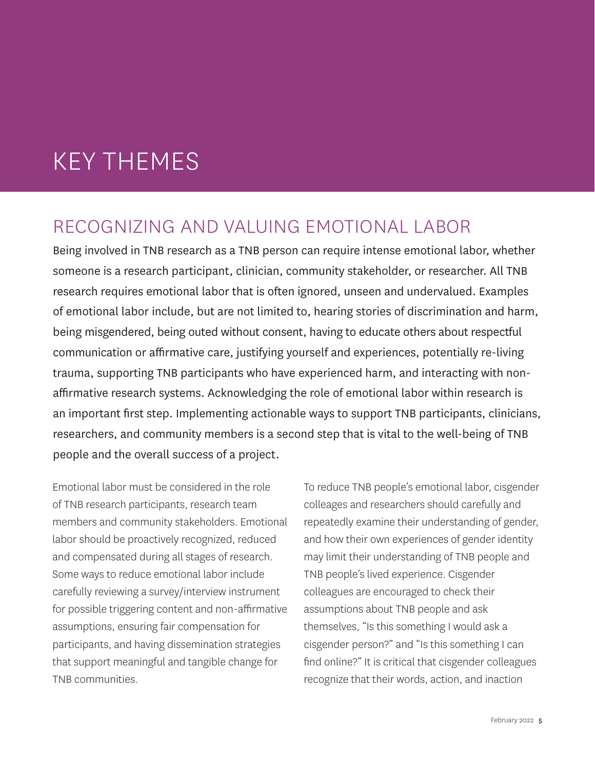# KEY THEMES

### RECOGNIZING AND VALUING EMOTIONAL LABOR

Being involved in TNB research as a TNB person can require intense emotional labor, whether someone is a research participant, clinician, community stakeholder, or researcher. All TNB research requires emotional labor that is often ignored, unseen and undervalued. Examples of emotional labor include, but are not limited to, hearing stories of discrimination and harm, being misgendered, being outed without consent, having to educate others about respectful communication or affirmative care, justifying yourself and experiences, potentially re-living trauma, supporting TNB participants who have experienced harm, and interacting with nonaffirmative research systems. Acknowledging the role of emotional labor within research is an important first step. Implementing actionable ways to support TNB participants, clinicians, researchers, and community members is a second step that is vital to the well-being of TNB people and the overall success of a project.

Emotional labor must be considered in the role of TNB research participants, research team members and community stakeholders. Emotional labor should be proactively recognized, reduced and compensated during all stages of research. Some ways to reduce emotional labor include carefully reviewing a survey/interview instrument for possible triggering content and non-affirmative assumptions, ensuring fair compensation for participants, and having dissemination strategies that support meaningful and tangible change for TNB communities.

To reduce TNB people's emotional labor, cisgender colleages and researchers should carefully and repeatedly examine their understanding of gender, and how their own experiences of gender identity may limit their understanding of TNB people and TNB people's lived experience. Cisgender colleagues are encouraged to check their assumptions about TNB people and ask themselves, "Is this something I would ask a cisgender person?" and "Is this something I can find online?" It is critical that cisgender colleagues recognize that their words, action, and inaction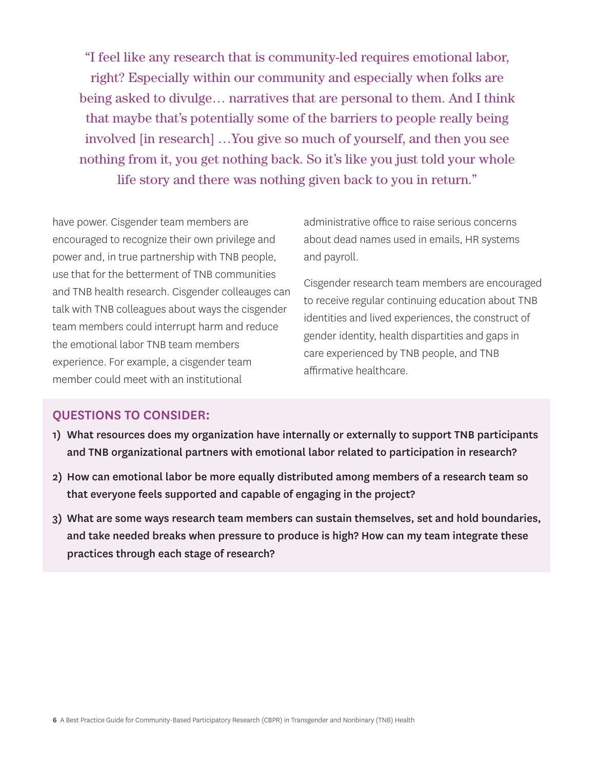"I feel like any research that is community-led requires emotional labor, right? Especially within our community and especially when folks are being asked to divulge… narratives that are personal to them. And I think that maybe that's potentially some of the barriers to people really being involved [in research] …You give so much of yourself, and then you see nothing from it, you get nothing back. So it's like you just told your whole life story and there was nothing given back to you in return."

have power. Cisgender team members are encouraged to recognize their own privilege and power and, in true partnership with TNB people, use that for the betterment of TNB communities and TNB health research. Cisgender colleauges can talk with TNB colleagues about ways the cisgender team members could interrupt harm and reduce the emotional labor TNB team members experience. For example, a cisgender team member could meet with an institutional

administrative office to raise serious concerns about dead names used in emails, HR systems and payroll.

Cisgender research team members are encouraged to receive regular continuing education about TNB identities and lived experiences, the construct of gender identity, health dispartities and gaps in care experienced by TNB people, and TNB affirmative healthcare.

#### QUESTIONS TO CONSIDER:

- 1) What resources does my organization have internally or externally to support TNB participants and TNB organizational partners with emotional labor related to participation in research?
- 2) How can emotional labor be more equally distributed among members of a research team so that everyone feels supported and capable of engaging in the project?
- 3) What are some ways research team members can sustain themselves, set and hold boundaries, and take needed breaks when pressure to produce is high? How can my team integrate these practices through each stage of research?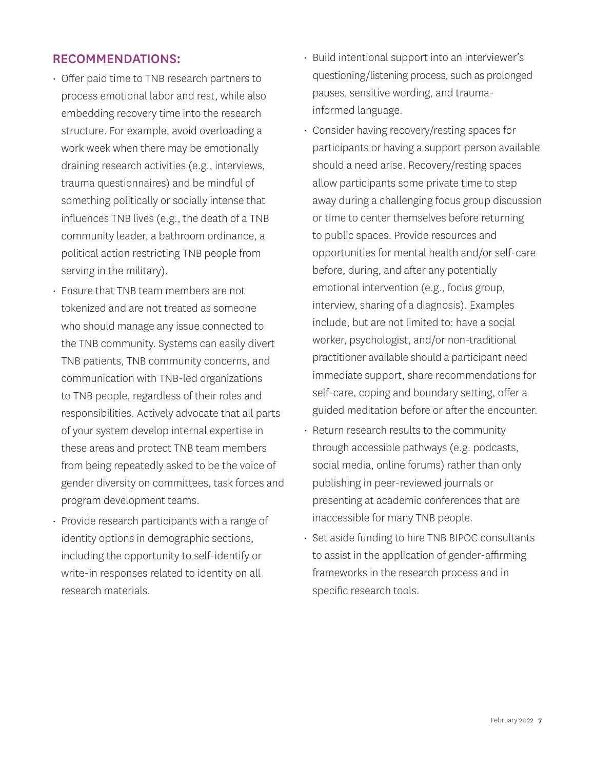#### RECOMMENDATIONS:

- Offer paid time to TNB research partners to process emotional labor and rest, while also embedding recovery time into the research structure. For example, avoid overloading a work week when there may be emotionally draining research activities (e.g., interviews, trauma questionnaires) and be mindful of something politically or socially intense that influences TNB lives (e.g., the death of a TNB community leader, a bathroom ordinance, a political action restricting TNB people from serving in the military).
- Ensure that TNB team members are not tokenized and are not treated as someone who should manage any issue connected to the TNB community. Systems can easily divert TNB patients, TNB community concerns, and communication with TNB-led organizations to TNB people, regardless of their roles and responsibilities. Actively advocate that all parts of your system develop internal expertise in these areas and protect TNB team members from being repeatedly asked to be the voice of gender diversity on committees, task forces and program development teams.
- Provide research participants with a range of identity options in demographic sections, including the opportunity to self-identify or write-in responses related to identity on all research materials.
- Build intentional support into an interviewer's questioning/listening process, such as prolonged pauses, sensitive wording, and traumainformed language.
- Consider having recovery/resting spaces for participants or having a support person available should a need arise. Recovery/resting spaces allow participants some private time to step away during a challenging focus group discussion or time to center themselves before returning to public spaces. Provide resources and opportunities for mental health and/or self-care before, during, and after any potentially emotional intervention (e.g., focus group, interview, sharing of a diagnosis). Examples include, but are not limited to: have a social worker, psychologist, and/or non-traditional practitioner available should a participant need immediate support, share recommendations for self-care, coping and boundary setting, offer a guided meditation before or after the encounter.
- Return research results to the community through accessible pathways (e.g. podcasts, social media, online forums) rather than only publishing in peer-reviewed journals or presenting at academic conferences that are inaccessible for many TNB people.
- Set aside funding to hire TNB BIPOC consultants to assist in the application of gender-affirming frameworks in the research process and in specific research tools.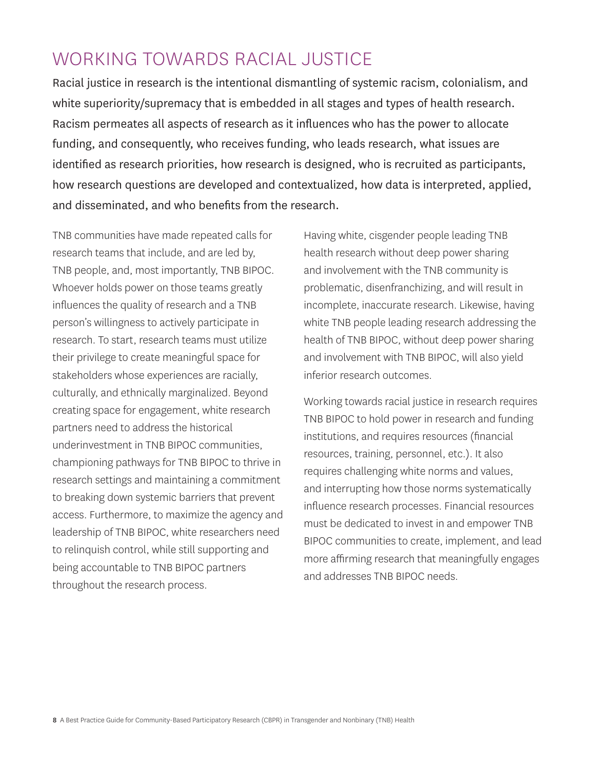## WORKING TOWARDS RACIAL JUSTICE

Racial justice in research is the intentional dismantling of systemic racism, colonialism, and white superiority/supremacy that is embedded in all stages and types of health research. Racism permeates all aspects of research as it influences who has the power to allocate funding, and consequently, who receives funding, who leads research, what issues are identified as research priorities, how research is designed, who is recruited as participants, how research questions are developed and contextualized, how data is interpreted, applied, and disseminated, and who benefits from the research.

TNB communities have made repeated calls for research teams that include, and are led by, TNB people, and, most importantly, TNB BIPOC. Whoever holds power on those teams greatly influences the quality of research and a TNB person's willingness to actively participate in research. To start, research teams must utilize their privilege to create meaningful space for stakeholders whose experiences are racially, culturally, and ethnically marginalized. Beyond creating space for engagement, white research partners need to address the historical underinvestment in TNB BIPOC communities, championing pathways for TNB BIPOC to thrive in research settings and maintaining a commitment to breaking down systemic barriers that prevent access. Furthermore, to maximize the agency and leadership of TNB BIPOC, white researchers need to relinquish control, while still supporting and being accountable to TNB BIPOC partners throughout the research process.

Having white, cisgender people leading TNB health research without deep power sharing and involvement with the TNB community is problematic, disenfranchizing, and will result in incomplete, inaccurate research. Likewise, having white TNB people leading research addressing the health of TNB BIPOC, without deep power sharing and involvement with TNB BIPOC, will also yield inferior research outcomes.

Working towards racial justice in research requires TNB BIPOC to hold power in research and funding institutions, and requires resources (financial resources, training, personnel, etc.). It also requires challenging white norms and values, and interrupting how those norms systematically influence research processes. Financial resources must be dedicated to invest in and empower TNB BIPOC communities to create, implement, and lead more affirming research that meaningfully engages and addresses TNB BIPOC needs.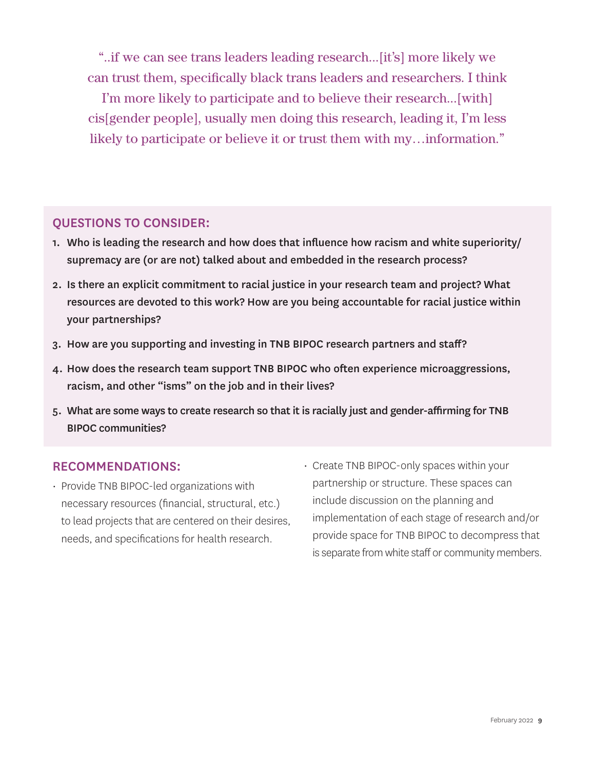"..if we can see trans leaders leading research...[it's] more likely we can trust them, specifically black trans leaders and researchers. I think

I'm more likely to participate and to believe their research...[with] cis[gender people], usually men doing this research, leading it, I'm less likely to participate or believe it or trust them with my…information."

#### QUESTIONS TO CONSIDER:

- 1. Who is leading the research and how does that influence how racism and white superiority/ supremacy are (or are not) talked about and embedded in the research process?
- 2. Is there an explicit commitment to racial justice in your research team and project? What resources are devoted to this work? How are you being accountable for racial justice within your partnerships?
- 3. How are you supporting and investing in TNB BIPOC research partners and staff?
- 4. How does the research team support TNB BIPOC who often experience microaggressions, racism, and other "isms" on the job and in their lives?
- 5. What are some ways to create research so that it is racially just and gender-affirming for TNB BIPOC communities?

#### RECOMMENDATIONS:

- Provide TNB BIPOC-led organizations with necessary resources (financial, structural, etc.) to lead projects that are centered on their desires, needs, and specifications for health research.
- Create TNB BIPOC-only spaces within your partnership or structure. These spaces can include discussion on the planning and implementation of each stage of research and/or provide space for TNB BIPOC to decompress that is separate from white staff or community members.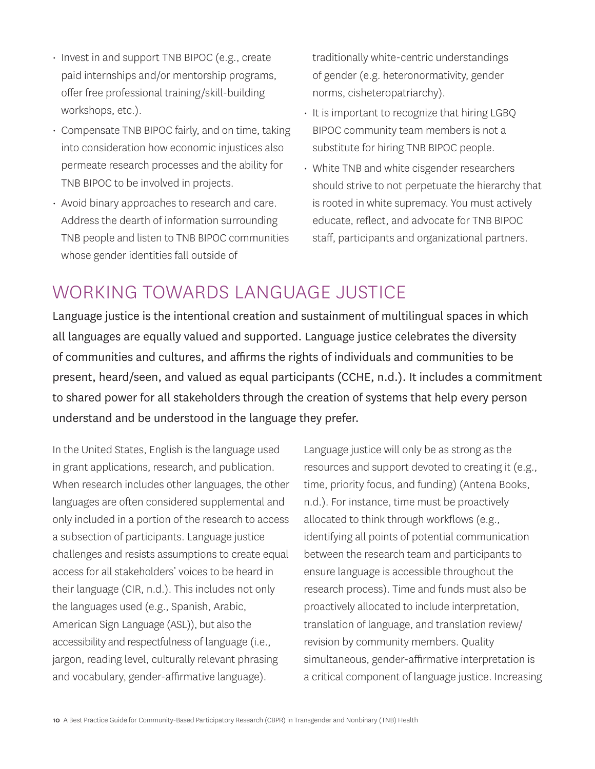- Invest in and support TNB BIPOC (e.g., create paid internships and/or mentorship programs, offer free professional training/skill-building workshops, etc.).
- Compensate TNB BIPOC fairly, and on time, taking into consideration how economic injustices also permeate research processes and the ability for TNB BIPOC to be involved in projects.
- Avoid binary approaches to research and care. Address the dearth of information surrounding TNB people and listen to TNB BIPOC communities whose gender identities fall outside of

traditionally white-centric understandings of gender (e.g. heteronormativity, gender norms, cisheteropatriarchy).

- It is important to recognize that hiring LGBQ BIPOC community team members is not a substitute for hiring TNB BIPOC people.
- White TNB and white cisgender researchers should strive to not perpetuate the hierarchy that is rooted in white supremacy. You must actively educate, reflect, and advocate for TNB BIPOC staff, participants and organizational partners.

## WORKING TOWARDS LANGUAGE JUSTICE

Language justice is the intentional creation and sustainment of multilingual spaces in which all languages are equally valued and supported. Language justice celebrates the diversity of communities and cultures, and affirms the rights of individuals and communities to be present, heard/seen, and valued as equal participants (CCHE, n.d.). It includes a commitment to shared power for all stakeholders through the creation of systems that help every person understand and be understood in the language they prefer.

In the United States, English is the language used in grant applications, research, and publication. When research includes other languages, the other languages are often considered supplemental and only included in a portion of the research to access a subsection of participants. Language justice challenges and resists assumptions to create equal access for all stakeholders' voices to be heard in their language (CIR, n.d.). This includes not only the languages used (e.g., Spanish, Arabic, American Sign Language (ASL)), but also the accessibility and respectfulness of language (i.e., jargon, reading level, culturally relevant phrasing and vocabulary, gender-affirmative language).

Language justice will only be as strong as the resources and support devoted to creating it (e.g., time, priority focus, and funding) (Antena Books, n.d.). For instance, time must be proactively allocated to think through workflows (e.g., identifying all points of potential communication between the research team and participants to ensure language is accessible throughout the research process). Time and funds must also be proactively allocated to include interpretation, translation of language, and translation review/ revision by community members. Quality simultaneous, gender-affirmative interpretation is a critical component of language justice. Increasing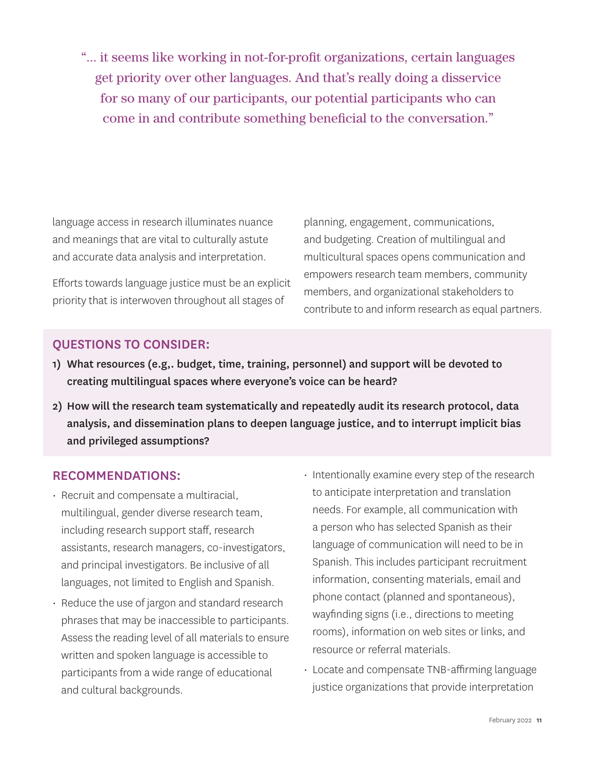"... it seems like working in not-for-profit organizations, certain languages get priority over other languages. And that's really doing a disservice for so many of our participants, our potential participants who can come in and contribute something beneficial to the conversation."

language access in research illuminates nuance and meanings that are vital to culturally astute and accurate data analysis and interpretation.

Efforts towards language justice must be an explicit priority that is interwoven throughout all stages of

planning, engagement, communications, and budgeting. Creation of multilingual and multicultural spaces opens communication and empowers research team members, community members, and organizational stakeholders to contribute to and inform research as equal partners.

### QUESTIONS TO CONSIDER:

- 1) What resources (e.g,. budget, time, training, personnel) and support will be devoted to creating multilingual spaces where everyone's voice can be heard?
- 2) How will the research team systematically and repeatedly audit its research protocol, data analysis, and dissemination plans to deepen language justice, and to interrupt implicit bias and privileged assumptions?

#### RECOMMENDATIONS:

- Recruit and compensate a multiracial, multilingual, gender diverse research team, including research support staff, research assistants, research managers, co-investigators, and principal investigators. Be inclusive of all languages, not limited to English and Spanish.
- Reduce the use of jargon and standard research phrases that may be inaccessible to participants. Assess the reading level of all materials to ensure written and spoken language is accessible to participants from a wide range of educational and cultural backgrounds.
- Intentionally examine every step of the research to anticipate interpretation and translation needs. For example, all communication with a person who has selected Spanish as their language of communication will need to be in Spanish. This includes participant recruitment information, consenting materials, email and phone contact (planned and spontaneous), wayfinding signs (i.e., directions to meeting rooms), information on web sites or links, and resource or referral materials.
- Locate and compensate TNB-affirming language justice organizations that provide interpretation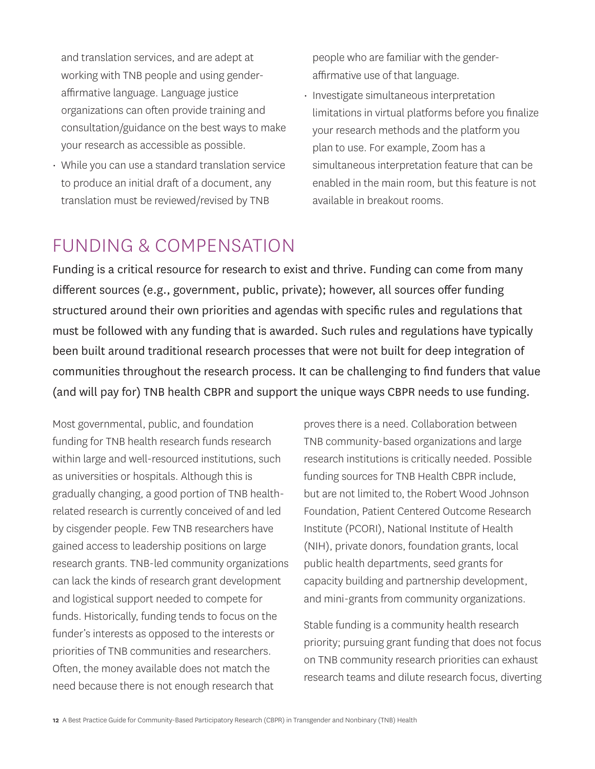and translation services, and are adept at working with TNB people and using genderaffirmative language. Language justice organizations can often provide training and consultation/guidance on the best ways to make your research as accessible as possible.

• While you can use a standard translation service to produce an initial draft of a document, any translation must be reviewed/revised by TNB

people who are familiar with the genderaffirmative use of that language.

• Investigate simultaneous interpretation limitations in virtual platforms before you finalize your research methods and the platform you plan to use. For example, Zoom has a simultaneous interpretation feature that can be enabled in the main room, but this feature is not available in breakout rooms.

## FUNDING & COMPENSATION

Funding is a critical resource for research to exist and thrive. Funding can come from many different sources (e.g., government, public, private); however, all sources offer funding structured around their own priorities and agendas with specific rules and regulations that must be followed with any funding that is awarded. Such rules and regulations have typically been built around traditional research processes that were not built for deep integration of communities throughout the research process. It can be challenging to find funders that value (and will pay for) TNB health CBPR and support the unique ways CBPR needs to use funding.

Most governmental, public, and foundation funding for TNB health research funds research within large and well-resourced institutions, such as universities or hospitals. Although this is gradually changing, a good portion of TNB healthrelated research is currently conceived of and led by cisgender people. Few TNB researchers have gained access to leadership positions on large research grants. TNB-led community organizations can lack the kinds of research grant development and logistical support needed to compete for funds. Historically, funding tends to focus on the funder's interests as opposed to the interests or priorities of TNB communities and researchers. Often, the money available does not match the need because there is not enough research that

proves there is a need. Collaboration between TNB community-based organizations and large research institutions is critically needed. Possible funding sources for TNB Health CBPR include, but are not limited to, the Robert Wood Johnson Foundation, Patient Centered Outcome Research Institute (PCORI), National Institute of Health (NIH), private donors, foundation grants, local public health departments, seed grants for capacity building and partnership development, and mini-grants from community organizations.

Stable funding is a community health research priority; pursuing grant funding that does not focus on TNB community research priorities can exhaust research teams and dilute research focus, diverting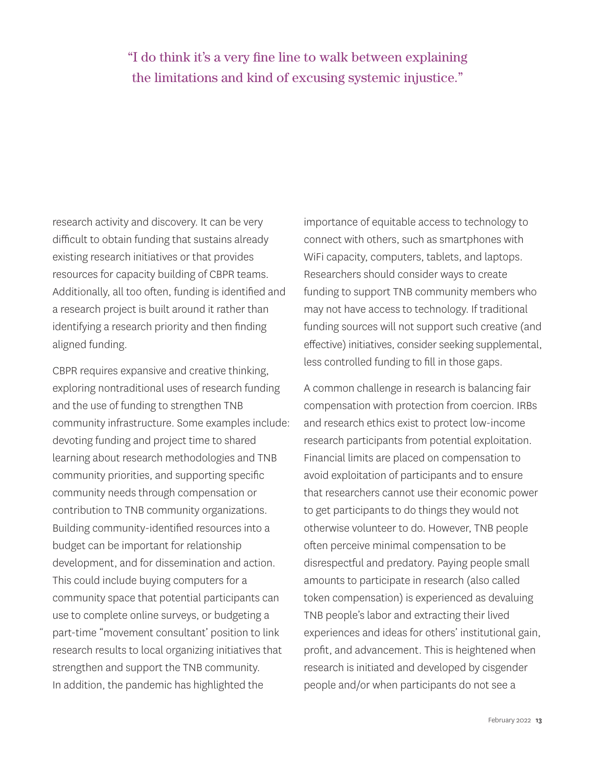### "I do think it's a very fine line to walk between explaining the limitations and kind of excusing systemic injustice."

research activity and discovery. It can be very difficult to obtain funding that sustains already existing research initiatives or that provides resources for capacity building of CBPR teams. Additionally, all too often, funding is identified and a research project is built around it rather than identifying a research priority and then finding aligned funding.

CBPR requires expansive and creative thinking, exploring nontraditional uses of research funding and the use of funding to strengthen TNB community infrastructure. Some examples include: devoting funding and project time to shared learning about research methodologies and TNB community priorities, and supporting specific community needs through compensation or contribution to TNB community organizations. Building community-identified resources into a budget can be important for relationship development, and for dissemination and action. This could include buying computers for a community space that potential participants can use to complete online surveys, or budgeting a part-time "movement consultant' position to link research results to local organizing initiatives that strengthen and support the TNB community. In addition, the pandemic has highlighted the

importance of equitable access to technology to connect with others, such as smartphones with WiFi capacity, computers, tablets, and laptops. Researchers should consider ways to create funding to support TNB community members who may not have access to technology. If traditional funding sources will not support such creative (and effective) initiatives, consider seeking supplemental, less controlled funding to fill in those gaps.

A common challenge in research is balancing fair compensation with protection from coercion. IRBs and research ethics exist to protect low-income research participants from potential exploitation. Financial limits are placed on compensation to avoid exploitation of participants and to ensure that researchers cannot use their economic power to get participants to do things they would not otherwise volunteer to do. However, TNB people often perceive minimal compensation to be disrespectful and predatory. Paying people small amounts to participate in research (also called token compensation) is experienced as devaluing TNB people's labor and extracting their lived experiences and ideas for others' institutional gain, profit, and advancement. This is heightened when research is initiated and developed by cisgender people and/or when participants do not see a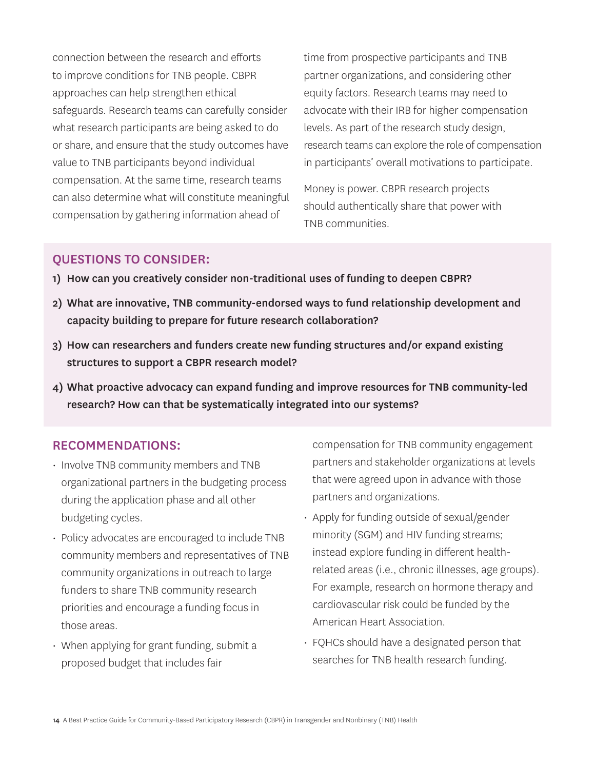connection between the research and efforts to improve conditions for TNB people. CBPR approaches can help strengthen ethical safeguards. Research teams can carefully consider what research participants are being asked to do or share, and ensure that the study outcomes have value to TNB participants beyond individual compensation. At the same time, research teams can also determine what will constitute meaningful compensation by gathering information ahead of

time from prospective participants and TNB partner organizations, and considering other equity factors. Research teams may need to advocate with their IRB for higher compensation levels. As part of the research study design, research teams can explore the role of compensation in participants' overall motivations to participate.

Money is power. CBPR research projects should authentically share that power with TNB communities.

### QUESTIONS TO CONSIDER:

- 1) How can you creatively consider non-traditional uses of funding to deepen CBPR?
- 2) What are innovative, TNB community-endorsed ways to fund relationship development and capacity building to prepare for future research collaboration?
- 3) How can researchers and funders create new funding structures and/or expand existing structures to support a CBPR research model?
- 4) What proactive advocacy can expand funding and improve resources for TNB community-led research? How can that be systematically integrated into our systems?

#### RECOMMENDATIONS:

- Involve TNB community members and TNB organizational partners in the budgeting process during the application phase and all other budgeting cycles.
- Policy advocates are encouraged to include TNB community members and representatives of TNB community organizations in outreach to large funders to share TNB community research priorities and encourage a funding focus in those areas.
- When applying for grant funding, submit a proposed budget that includes fair

compensation for TNB community engagement partners and stakeholder organizations at levels that were agreed upon in advance with those partners and organizations.

- Apply for funding outside of sexual/gender minority (SGM) and HIV funding streams; instead explore funding in different healthrelated areas (i.e., chronic illnesses, age groups). For example, research on hormone therapy and cardiovascular risk could be funded by the American Heart Association.
- FQHCs should have a designated person that searches for TNB health research funding.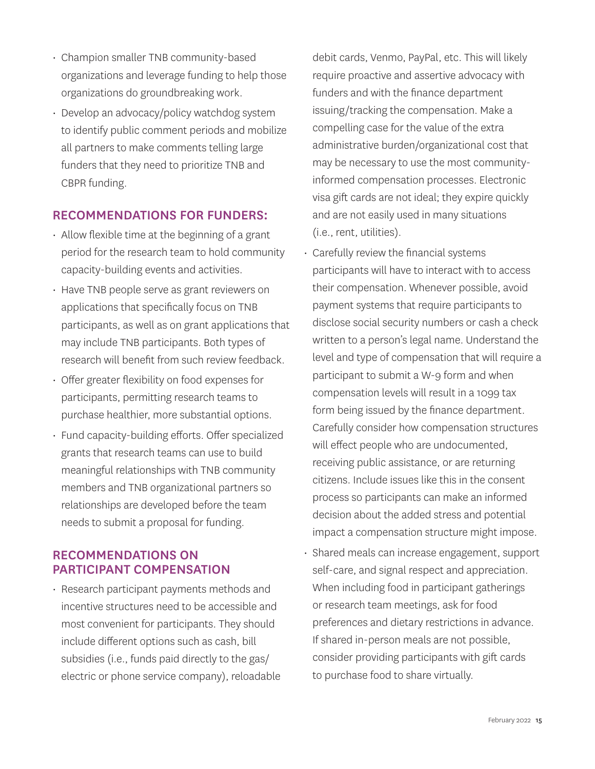- Champion smaller TNB community-based organizations and leverage funding to help those organizations do groundbreaking work.
- Develop an advocacy/policy watchdog system to identify public comment periods and mobilize all partners to make comments telling large funders that they need to prioritize TNB and CBPR funding.

#### RECOMMENDATIONS FOR FUNDERS:

- Allow flexible time at the beginning of a grant period for the research team to hold community capacity-building events and activities.
- Have TNB people serve as grant reviewers on applications that specifically focus on TNB participants, as well as on grant applications that may include TNB participants. Both types of research will benefit from such review feedback.
- Offer greater flexibility on food expenses for participants, permitting research teams to purchase healthier, more substantial options.
- Fund capacity-building efforts. Offer specialized grants that research teams can use to build meaningful relationships with TNB community members and TNB organizational partners so relationships are developed before the team needs to submit a proposal for funding.

#### RECOMMENDATIONS ON PARTICIPANT COMPENSATION

• Research participant payments methods and incentive structures need to be accessible and most convenient for participants. They should include different options such as cash, bill subsidies (i.e., funds paid directly to the gas/ electric or phone service company), reloadable debit cards, Venmo, PayPal, etc. This will likely require proactive and assertive advocacy with funders and with the finance department issuing/tracking the compensation. Make a compelling case for the value of the extra administrative burden/organizational cost that may be necessary to use the most communityinformed compensation processes. Electronic visa gift cards are not ideal; they expire quickly and are not easily used in many situations (i.e., rent, utilities).

- Carefully review the financial systems participants will have to interact with to access their compensation. Whenever possible, avoid payment systems that require participants to disclose social security numbers or cash a check written to a person's legal name. Understand the level and type of compensation that will require a participant to submit a W-9 form and when compensation levels will result in a 1099 tax form being issued by the finance department. Carefully consider how compensation structures will effect people who are undocumented, receiving public assistance, or are returning citizens. Include issues like this in the consent process so participants can make an informed decision about the added stress and potential impact a compensation structure might impose.
- Shared meals can increase engagement, support self-care, and signal respect and appreciation. When including food in participant gatherings or research team meetings, ask for food preferences and dietary restrictions in advance. If shared in-person meals are not possible, consider providing participants with gift cards to purchase food to share virtually.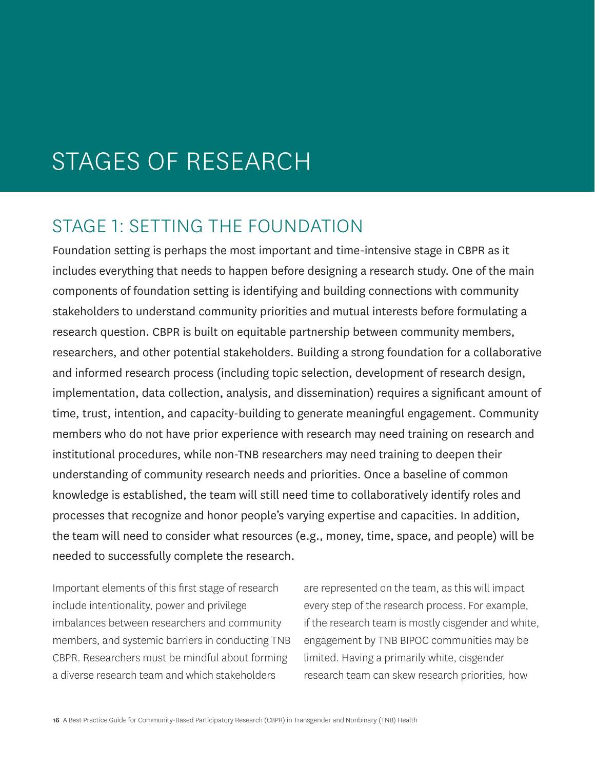## STAGES OF RESEARCH

### STAGE 1: SETTING THE FOUNDATION

Foundation setting is perhaps the most important and time-intensive stage in CBPR as it includes everything that needs to happen before designing a research study. One of the main components of foundation setting is identifying and building connections with community stakeholders to understand community priorities and mutual interests before formulating a research question. CBPR is built on equitable partnership between community members, researchers, and other potential stakeholders. Building a strong foundation for a collaborative and informed research process (including topic selection, development of research design, implementation, data collection, analysis, and dissemination) requires a significant amount of time, trust, intention, and capacity-building to generate meaningful engagement. Community members who do not have prior experience with research may need training on research and institutional procedures, while non-TNB researchers may need training to deepen their understanding of community research needs and priorities. Once a baseline of common knowledge is established, the team will still need time to collaboratively identify roles and processes that recognize and honor people's varying expertise and capacities. In addition, the team will need to consider what resources (e.g., money, time, space, and people) will be needed to successfully complete the research.

Important elements of this first stage of research include intentionality, power and privilege imbalances between researchers and community members, and systemic barriers in conducting TNB CBPR. Researchers must be mindful about forming a diverse research team and which stakeholders

are represented on the team, as this will impact every step of the research process. For example, if the research team is mostly cisgender and white, engagement by TNB BIPOC communities may be limited. Having a primarily white, cisgender research team can skew research priorities, how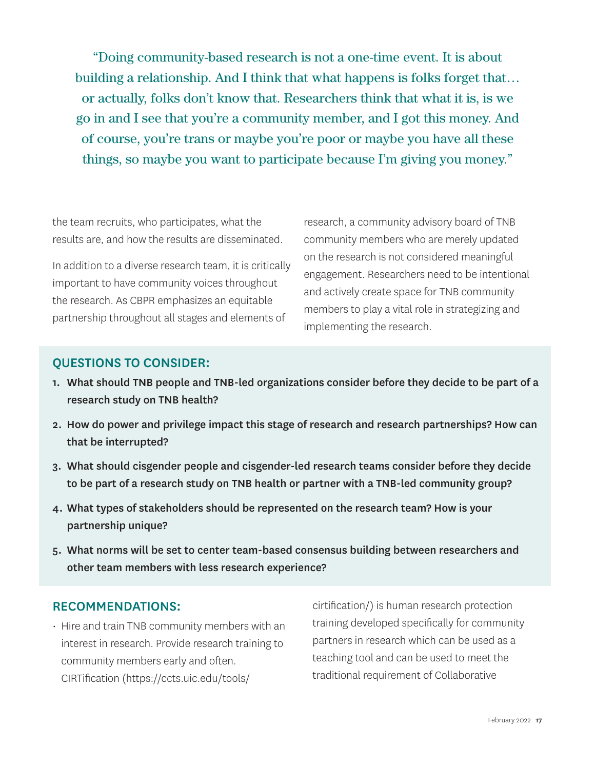"Doing community-based research is not a one-time event. It is about building a relationship. And I think that what happens is folks forget that… or actually, folks don't know that. Researchers think that what it is, is we go in and I see that you're a community member, and I got this money. And of course, you're trans or maybe you're poor or maybe you have all these things, so maybe you want to participate because I'm giving you money."

the team recruits, who participates, what the results are, and how the results are disseminated.

In addition to a diverse research team, it is critically important to have community voices throughout the research. As CBPR emphasizes an equitable partnership throughout all stages and elements of

research, a community advisory board of TNB community members who are merely updated on the research is not considered meaningful engagement. Researchers need to be intentional and actively create space for TNB community members to play a vital role in strategizing and implementing the research.

#### QUESTIONS TO CONSIDER:

- 1. What should TNB people and TNB-led organizations consider before they decide to be part of a research study on TNB health?
- 2. How do power and privilege impact this stage of research and research partnerships? How can that be interrupted?
- 3. What should cisgender people and cisgender-led research teams consider before they decide to be part of a research study on TNB health or partner with a TNB-led community group?
- 4. What types of stakeholders should be represented on the research team? How is your partnership unique?
- 5. What norms will be set to center team-based consensus building between researchers and other team members with less research experience?

#### RECOMMENDATIONS:

• Hire and train TNB community members with an interest in research. Provide research training to community members early and often. CIRTification ([https://ccts.uic.edu/tools/](https://ccts.uic.edu/tools/cirtification/)

[cirtification/\)](https://ccts.uic.edu/tools/cirtification/) is human research protection training developed specifically for community partners in research which can be used as a teaching tool and can be used to meet the traditional requirement of Collaborative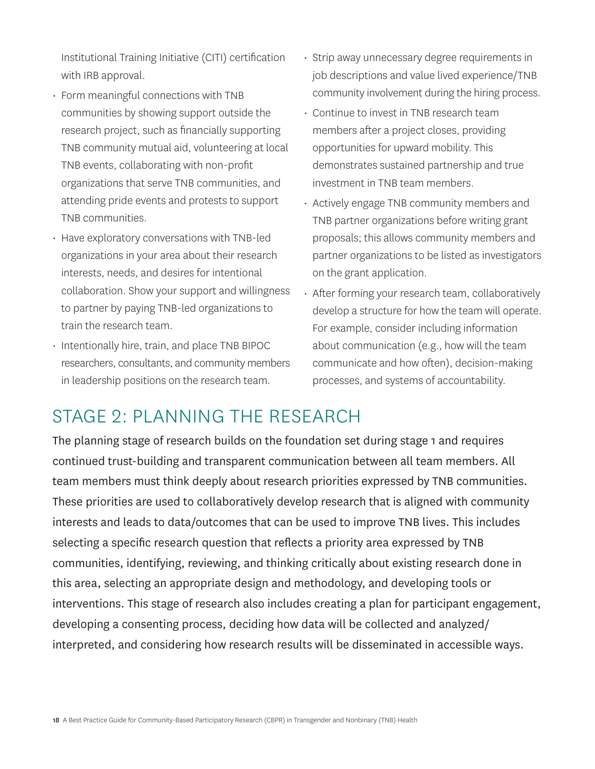Institutional Training Initiative (CITI) certification with IRB approval.

- Form meaningful connections with TNB communities by showing support outside the research project, such as financially supporting TNB community mutual aid, volunteering at local TNB events, collaborating with non-profit organizations that serve TNB communities, and attending pride events and protests to support TNB communities.
- Have exploratory conversations with TNB-led organizations in your area about their research interests, needs, and desires for intentional collaboration. Show your support and willingness to partner by paying TNB-led organizations to train the research team.
- Intentionally hire, train, and place TNB BIPOC researchers, consultants, and community members in leadership positions on the research team.
- Strip away unnecessary degree requirements in job descriptions and value lived experience/TNB community involvement during the hiring process.
- Continue to invest in TNB research team members after a project closes, providing opportunities for upward mobility. This demonstrates sustained partnership and true investment in TNB team members.
- Actively engage TNB community members and TNB partner organizations before writing grant proposals; this allows community members and partner organizations to be listed as investigators on the grant application.
- After forming your research team, collaboratively develop a structure for how the team will operate. For example, consider including information about communication (e.g., how will the team communicate and how often), decision-making processes, and systems of accountability.

## STAGE 2: PLANNING THE RESEARCH

The planning stage of research builds on the foundation set during stage 1 and requires continued trust-building and transparent communication between all team members. All team members must think deeply about research priorities expressed by TNB communities. These priorities are used to collaboratively develop research that is aligned with community interests and leads to data/outcomes that can be used to improve TNB lives. This includes selecting a specific research question that reflects a priority area expressed by TNB communities, identifying, reviewing, and thinking critically about existing research done in this area, selecting an appropriate design and methodology, and developing tools or interventions. This stage of research also includes creating a plan for participant engagement, developing a consenting process, deciding how data will be collected and analyzed/ interpreted, and considering how research results will be disseminated in accessible ways.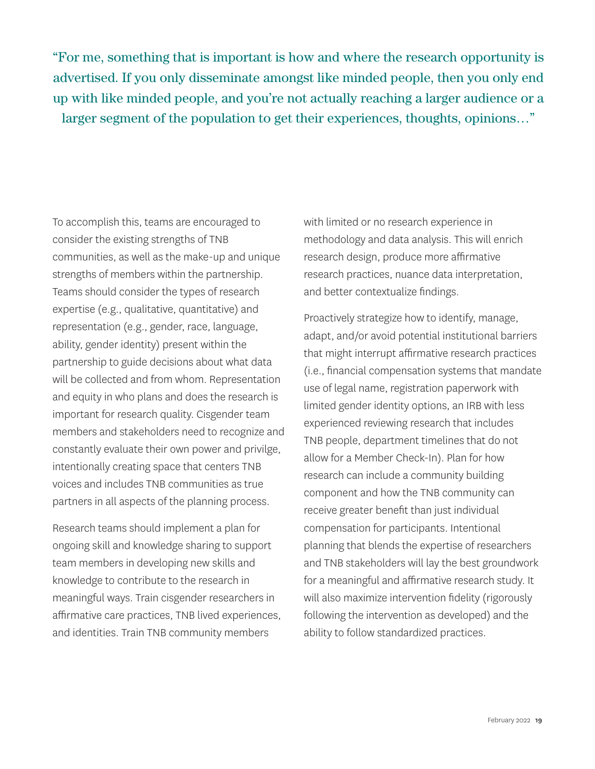"For me, something that is important is how and where the research opportunity is advertised. If you only disseminate amongst like minded people, then you only end up with like minded people, and you're not actually reaching a larger audience or a larger segment of the population to get their experiences, thoughts, opinions…"

To accomplish this, teams are encouraged to consider the existing strengths of TNB communities, as well as the make-up and unique strengths of members within the partnership. Teams should consider the types of research expertise (e.g., qualitative, quantitative) and representation (e.g., gender, race, language, ability, gender identity) present within the partnership to guide decisions about what data will be collected and from whom. Representation and equity in who plans and does the research is important for research quality. Cisgender team members and stakeholders need to recognize and constantly evaluate their own power and privilge, intentionally creating space that centers TNB voices and includes TNB communities as true partners in all aspects of the planning process.

Research teams should implement a plan for ongoing skill and knowledge sharing to support team members in developing new skills and knowledge to contribute to the research in meaningful ways. Train cisgender researchers in affirmative care practices, TNB lived experiences, and identities. Train TNB community members

with limited or no research experience in methodology and data analysis. This will enrich research design, produce more affirmative research practices, nuance data interpretation, and better contextualize findings.

Proactively strategize how to identify, manage, adapt, and/or avoid potential institutional barriers that might interrupt affirmative research practices (i.e., financial compensation systems that mandate use of legal name, registration paperwork with limited gender identity options, an IRB with less experienced reviewing research that includes TNB people, department timelines that do not allow for a Member Check-In). Plan for how research can include a community building component and how the TNB community can receive greater benefit than just individual compensation for participants. Intentional planning that blends the expertise of researchers and TNB stakeholders will lay the best groundwork for a meaningful and affirmative research study. It will also maximize intervention fidelity (rigorously following the intervention as developed) and the ability to follow standardized practices.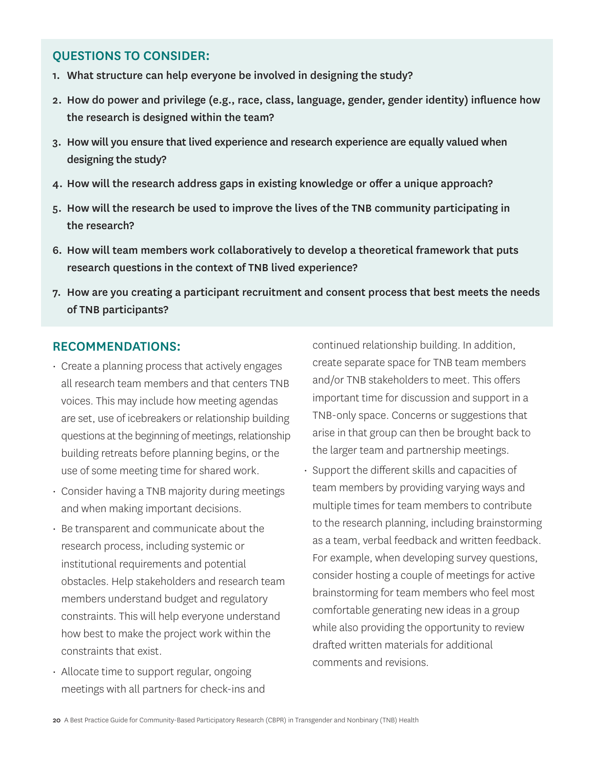#### QUESTIONS TO CONSIDER:

- 1. What structure can help everyone be involved in designing the study?
- 2. How do power and privilege (e.g., race, class, language, gender, gender identity) influence how the research is designed within the team?
- 3. How will you ensure that lived experience and research experience are equally valued when designing the study?
- 4. How will the research address gaps in existing knowledge or offer a unique approach?
- 5. How will the research be used to improve the lives of the TNB community participating in the research?
- 6. How will team members work collaboratively to develop a theoretical framework that puts research questions in the context of TNB lived experience?
- 7. How are you creating a participant recruitment and consent process that best meets the needs of TNB participants?

#### RECOMMENDATIONS:

- Create a planning process that actively engages all research team members and that centers TNB voices. This may include how meeting agendas are set, use of icebreakers or relationship building questions at the beginning of meetings, relationship building retreats before planning begins, or the use of some meeting time for shared work.
- Consider having a TNB majority during meetings and when making important decisions.
- Be transparent and communicate about the research process, including systemic or institutional requirements and potential obstacles. Help stakeholders and research team members understand budget and regulatory constraints. This will help everyone understand how best to make the project work within the constraints that exist.
- Allocate time to support regular, ongoing meetings with all partners for check-ins and

continued relationship building. In addition, create separate space for TNB team members and/or TNB stakeholders to meet. This offers important time for discussion and support in a TNB-only space. Concerns or suggestions that arise in that group can then be brought back to the larger team and partnership meetings.

• Support the different skills and capacities of team members by providing varying ways and multiple times for team members to contribute to the research planning, including brainstorming as a team, verbal feedback and written feedback. For example, when developing survey questions, consider hosting a couple of meetings for active brainstorming for team members who feel most comfortable generating new ideas in a group while also providing the opportunity to review drafted written materials for additional comments and revisions.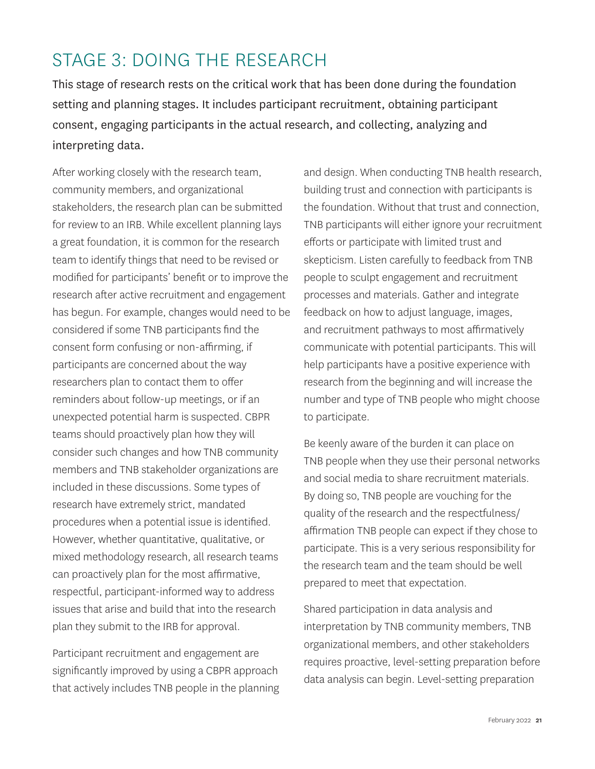## STAGE 3: DOING THE RESEARCH

This stage of research rests on the critical work that has been done during the foundation setting and planning stages. It includes participant recruitment, obtaining participant consent, engaging participants in the actual research, and collecting, analyzing and interpreting data.

After working closely with the research team, community members, and organizational stakeholders, the research plan can be submitted for review to an IRB. While excellent planning lays a great foundation, it is common for the research team to identify things that need to be revised or modified for participants' benefit or to improve the research after active recruitment and engagement has begun. For example, changes would need to be considered if some TNB participants find the consent form confusing or non-affirming, if participants are concerned about the way researchers plan to contact them to offer reminders about follow-up meetings, or if an unexpected potential harm is suspected. CBPR teams should proactively plan how they will consider such changes and how TNB community members and TNB stakeholder organizations are included in these discussions. Some types of research have extremely strict, mandated procedures when a potential issue is identified. However, whether quantitative, qualitative, or mixed methodology research, all research teams can proactively plan for the most affirmative, respectful, participant-informed way to address issues that arise and build that into the research plan they submit to the IRB for approval.

Participant recruitment and engagement are significantly improved by using a CBPR approach that actively includes TNB people in the planning and design. When conducting TNB health research, building trust and connection with participants is the foundation. Without that trust and connection, TNB participants will either ignore your recruitment efforts or participate with limited trust and skepticism. Listen carefully to feedback from TNB people to sculpt engagement and recruitment processes and materials. Gather and integrate feedback on how to adjust language, images, and recruitment pathways to most affirmatively communicate with potential participants. This will help participants have a positive experience with research from the beginning and will increase the number and type of TNB people who might choose to participate.

Be keenly aware of the burden it can place on TNB people when they use their personal networks and social media to share recruitment materials. By doing so, TNB people are vouching for the quality of the research and the respectfulness/ affirmation TNB people can expect if they chose to participate. This is a very serious responsibility for the research team and the team should be well prepared to meet that expectation.

Shared participation in data analysis and interpretation by TNB community members, TNB organizational members, and other stakeholders requires proactive, level-setting preparation before data analysis can begin. Level-setting preparation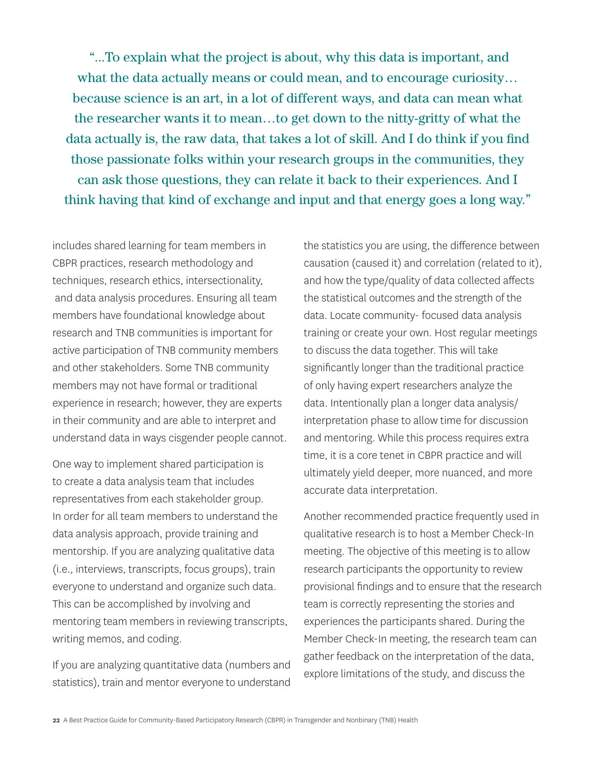"...To explain what the project is about, why this data is important, and what the data actually means or could mean, and to encourage curiosity… because science is an art, in a lot of different ways, and data can mean what the researcher wants it to mean…to get down to the nitty-gritty of what the data actually is, the raw data, that takes a lot of skill. And I do think if you find those passionate folks within your research groups in the communities, they can ask those questions, they can relate it back to their experiences. And I think having that kind of exchange and input and that energy goes a long way."

includes shared learning for team members in CBPR practices, research methodology and techniques, research ethics, intersectionality, and data analysis procedures. Ensuring all team members have foundational knowledge about research and TNB communities is important for active participation of TNB community members and other stakeholders. Some TNB community members may not have formal or traditional experience in research; however, they are experts in their community and are able to interpret and understand data in ways cisgender people cannot.

One way to implement shared participation is to create a data analysis team that includes representatives from each stakeholder group. In order for all team members to understand the data analysis approach, provide training and mentorship. If you are analyzing qualitative data (i.e., interviews, transcripts, focus groups), train everyone to understand and organize such data. This can be accomplished by involving and mentoring team members in reviewing transcripts, writing memos, and coding.

If you are analyzing quantitative data (numbers and statistics), train and mentor everyone to understand

the statistics you are using, the difference between causation (caused it) and correlation (related to it), and how the type/quality of data collected affects the statistical outcomes and the strength of the data. Locate community- focused data analysis training or create your own. Host regular meetings to discuss the data together. This will take significantly longer than the traditional practice of only having expert researchers analyze the data. Intentionally plan a longer data analysis/ interpretation phase to allow time for discussion and mentoring. While this process requires extra time, it is a core tenet in CBPR practice and will ultimately yield deeper, more nuanced, and more accurate data interpretation.

Another recommended practice frequently used in qualitative research is to host a Member Check-In meeting. The objective of this meeting is to allow research participants the opportunity to review provisional findings and to ensure that the research team is correctly representing the stories and experiences the participants shared. During the Member Check-In meeting, the research team can gather feedback on the interpretation of the data, explore limitations of the study, and discuss the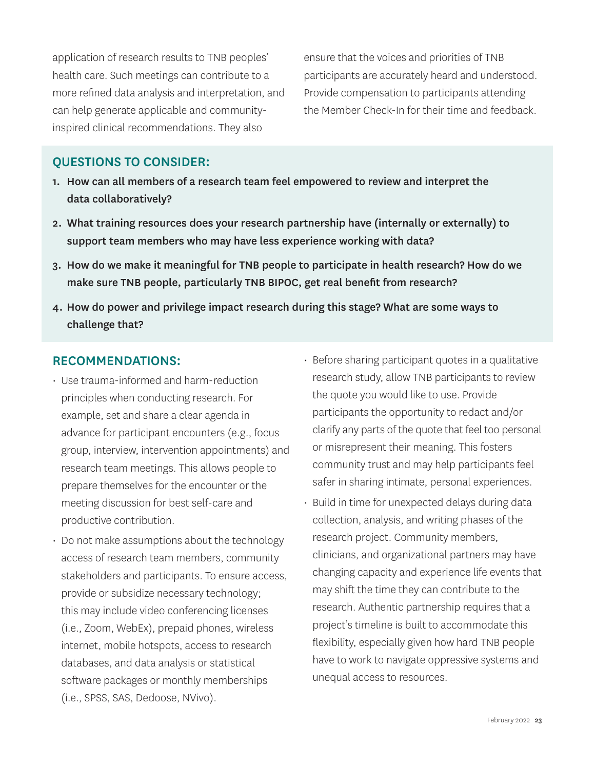application of research results to TNB peoples' health care. Such meetings can contribute to a more refined data analysis and interpretation, and can help generate applicable and communityinspired clinical recommendations. They also

ensure that the voices and priorities of TNB participants are accurately heard and understood. Provide compensation to participants attending the Member Check-In for their time and feedback.

#### QUESTIONS TO CONSIDER:

- 1. How can all members of a research team feel empowered to review and interpret the data collaboratively?
- 2. What training resources does your research partnership have (internally or externally) to support team members who may have less experience working with data?
- 3. How do we make it meaningful for TNB people to participate in health research? How do we make sure TNB people, particularly TNB BIPOC, get real benefit from research?
- 4. How do power and privilege impact research during this stage? What are some ways to challenge that?

#### RECOMMENDATIONS:

- Use trauma-informed and harm-reduction principles when conducting research. For example, set and share a clear agenda in advance for participant encounters (e.g., focus group, interview, intervention appointments) and research team meetings. This allows people to prepare themselves for the encounter or the meeting discussion for best self-care and productive contribution.
- Do not make assumptions about the technology access of research team members, community stakeholders and participants. To ensure access, provide or subsidize necessary technology; this may include video conferencing licenses (i.e., Zoom, WebEx), prepaid phones, wireless internet, mobile hotspots, access to research databases, and data analysis or statistical software packages or monthly memberships (i.e., SPSS, SAS, Dedoose, NVivo).
- Before sharing participant quotes in a qualitative research study, allow TNB participants to review the quote you would like to use. Provide participants the opportunity to redact and/or clarify any parts of the quote that feel too personal or misrepresent their meaning. This fosters community trust and may help participants feel safer in sharing intimate, personal experiences.
- Build in time for unexpected delays during data collection, analysis, and writing phases of the research project. Community members, clinicians, and organizational partners may have changing capacity and experience life events that may shift the time they can contribute to the research. Authentic partnership requires that a project's timeline is built to accommodate this flexibility, especially given how hard TNB people have to work to navigate oppressive systems and unequal access to resources.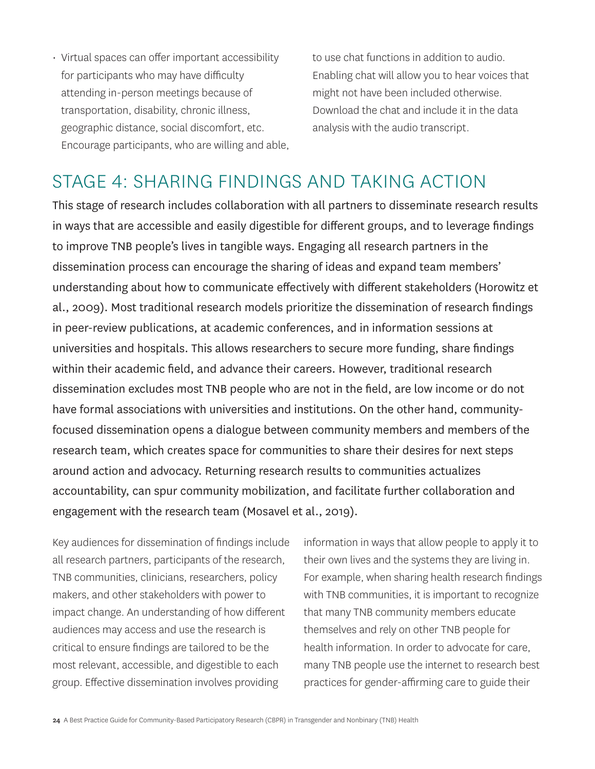• Virtual spaces can offer important accessibility for participants who may have difficulty attending in-person meetings because of transportation, disability, chronic illness, geographic distance, social discomfort, etc. Encourage participants, who are willing and able, to use chat functions in addition to audio. Enabling chat will allow you to hear voices that might not have been included otherwise. Download the chat and include it in the data analysis with the audio transcript.

### STAGE 4: SHARING FINDINGS AND TAKING ACTION

This stage of research includes collaboration with all partners to disseminate research results in ways that are accessible and easily digestible for different groups, and to leverage findings to improve TNB people's lives in tangible ways. Engaging all research partners in the dissemination process can encourage the sharing of ideas and expand team members' understanding about how to communicate effectively with different stakeholders (Horowitz et al., 2009). Most traditional research models prioritize the dissemination of research findings in peer-review publications, at academic conferences, and in information sessions at universities and hospitals. This allows researchers to secure more funding, share findings within their academic field, and advance their careers. However, traditional research dissemination excludes most TNB people who are not in the field, are low income or do not have formal associations with universities and institutions. On the other hand, communityfocused dissemination opens a dialogue between community members and members of the research team, which creates space for communities to share their desires for next steps around action and advocacy. Returning research results to communities actualizes accountability, can spur community mobilization, and facilitate further collaboration and engagement with the research team (Mosavel et al., 2019).

Key audiences for dissemination of findings include all research partners, participants of the research, TNB communities, clinicians, researchers, policy makers, and other stakeholders with power to impact change. An understanding of how different audiences may access and use the research is critical to ensure findings are tailored to be the most relevant, accessible, and digestible to each group. Effective dissemination involves providing

information in ways that allow people to apply it to their own lives and the systems they are living in. For example, when sharing health research findings with TNB communities, it is important to recognize that many TNB community members educate themselves and rely on other TNB people for health information. In order to advocate for care, many TNB people use the internet to research best practices for gender-affirming care to guide their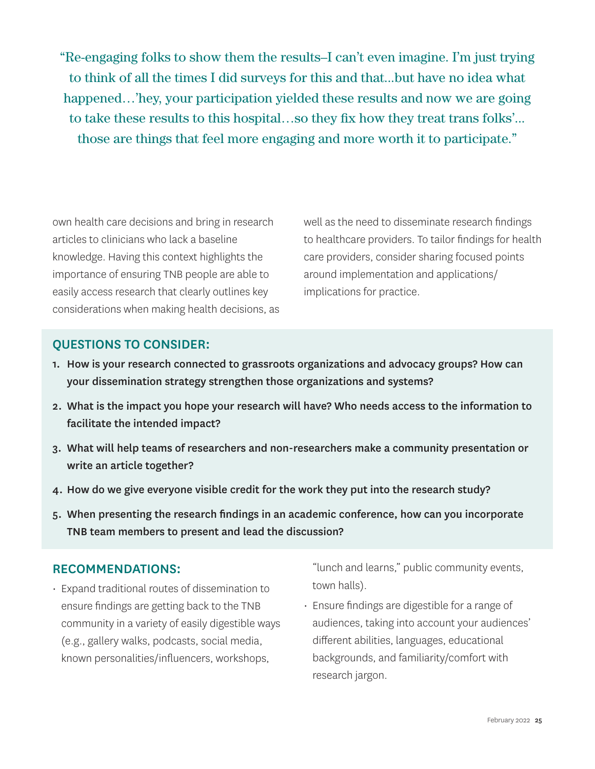"Re-engaging folks to show them the results–I can't even imagine. I'm just trying to think of all the times I did surveys for this and that...but have no idea what happened…'hey, your participation yielded these results and now we are going to take these results to this hospital…so they fix how they treat trans folks'... those are things that feel more engaging and more worth it to participate."

own health care decisions and bring in research articles to clinicians who lack a baseline knowledge. Having this context highlights the importance of ensuring TNB people are able to easily access research that clearly outlines key considerations when making health decisions, as well as the need to disseminate research findings to healthcare providers. To tailor findings for health care providers, consider sharing focused points around implementation and applications/ implications for practice.

#### QUESTIONS TO CONSIDER:

- 1. How is your research connected to grassroots organizations and advocacy groups? How can your dissemination strategy strengthen those organizations and systems?
- 2. What is the impact you hope your research will have? Who needs access to the information to facilitate the intended impact?
- 3. What will help teams of researchers and non-researchers make a community presentation or write an article together?
- 4. How do we give everyone visible credit for the work they put into the research study?
- 5. When presenting the research findings in an academic conference, how can you incorporate TNB team members to present and lead the discussion?

#### RECOMMENDATIONS:

• Expand traditional routes of dissemination to ensure findings are getting back to the TNB community in a variety of easily digestible ways (e.g., gallery walks, podcasts, social media, known personalities/influencers, workshops,

"lunch and learns," public community events, town halls).

• Ensure findings are digestible for a range of audiences, taking into account your audiences' different abilities, languages, educational backgrounds, and familiarity/comfort with research jargon.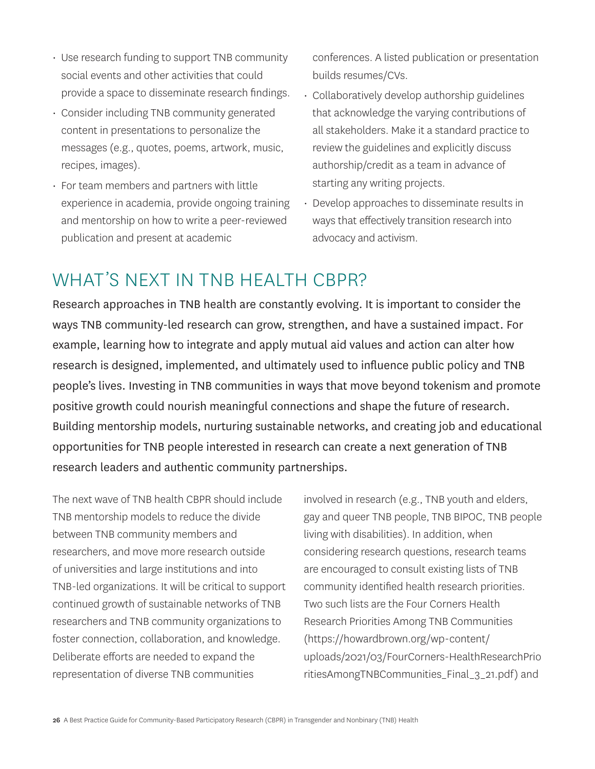- Use research funding to support TNB community social events and other activities that could provide a space to disseminate research findings.
- Consider including TNB community generated content in presentations to personalize the messages (e.g., quotes, poems, artwork, music, recipes, images).
- For team members and partners with little experience in academia, provide ongoing training and mentorship on how to write a peer-reviewed publication and present at academic

conferences. A listed publication or presentation builds resumes/CVs.

- Collaboratively develop authorship guidelines that acknowledge the varying contributions of all stakeholders. Make it a standard practice to review the guidelines and explicitly discuss authorship/credit as a team in advance of starting any writing projects.
- Develop approaches to disseminate results in ways that effectively transition research into advocacy and activism.

## WHAT'S NEXT IN TNB HEALTH CBPR?

Research approaches in TNB health are constantly evolving. It is important to consider the ways TNB community-led research can grow, strengthen, and have a sustained impact. For example, learning how to integrate and apply mutual aid values and action can alter how research is designed, implemented, and ultimately used to influence public policy and TNB people's lives. Investing in TNB communities in ways that move beyond tokenism and promote positive growth could nourish meaningful connections and shape the future of research. Building mentorship models, nurturing sustainable networks, and creating job and educational opportunities for TNB people interested in research can create a next generation of TNB research leaders and authentic community partnerships.

The next wave of TNB health CBPR should include TNB mentorship models to reduce the divide between TNB community members and researchers, and move more research outside of universities and large institutions and into TNB-led organizations. It will be critical to support continued growth of sustainable networks of TNB researchers and TNB community organizations to foster connection, collaboration, and knowledge. Deliberate efforts are needed to expand the representation of diverse TNB communities

involved in research (e.g., TNB youth and elders, gay and queer TNB people, TNB BIPOC, TNB people living with disabilities). In addition, when considering research questions, research teams are encouraged to consult existing lists of TNB community identified health research priorities. Two such lists are the Four Corners Health Research Priorities Among TNB Communities ([https://howardbrown.org/wp-content/](https://howardbrown.org/wp-content/uploads/2021/03/FourCorners-HealthResearchPrioritiesAmongTNBCommunities_Final_3_21.pdf) [uploads/2021/03/FourCorners-HealthResearchPrio](https://howardbrown.org/wp-content/uploads/2021/03/FourCorners-HealthResearchPrioritiesAmongTNBCommunities_Final_3_21.pdf) [ritiesAmongTNBCommunities\\_Final\\_3\\_21.pdf\)](https://howardbrown.org/wp-content/uploads/2021/03/FourCorners-HealthResearchPrioritiesAmongTNBCommunities_Final_3_21.pdf) and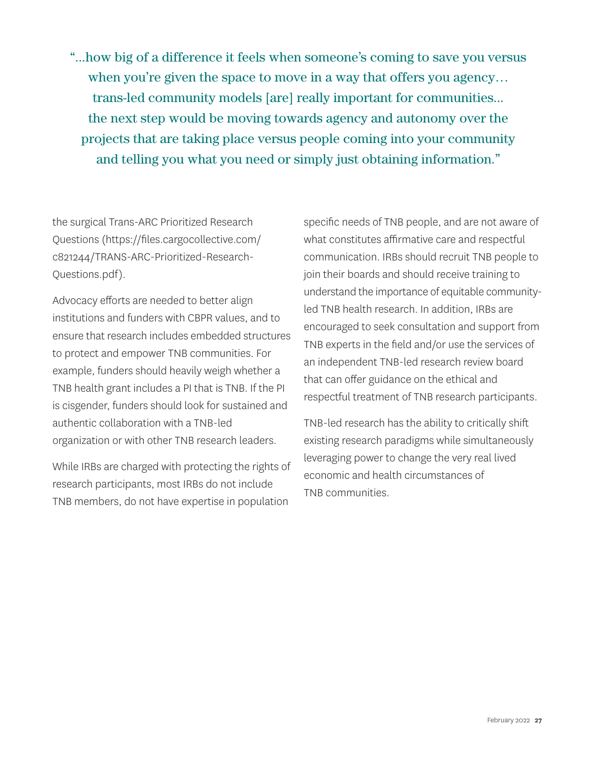"...how big of a difference it feels when someone's coming to save you versus when you're given the space to move in a way that offers you agency… trans-led community models [are] really important for communities... the next step would be moving towards agency and autonomy over the projects that are taking place versus people coming into your community and telling you what you need or simply just obtaining information."

the surgical Trans-ARC Prioritized Research Questions ([https://files.cargocollective.com/](https://files.cargocollective.com/c821244/TRANS-ARC-Prioritized-Research-Questions.pdf) [c821244/TRANS-ARC-Prioritized-Research-](https://files.cargocollective.com/c821244/TRANS-ARC-Prioritized-Research-Questions.pdf)[Questions.pdf](https://files.cargocollective.com/c821244/TRANS-ARC-Prioritized-Research-Questions.pdf)).

Advocacy efforts are needed to better align institutions and funders with CBPR values, and to ensure that research includes embedded structures to protect and empower TNB communities. For example, funders should heavily weigh whether a TNB health grant includes a PI that is TNB. If the PI is cisgender, funders should look for sustained and authentic collaboration with a TNB-led organization or with other TNB research leaders.

While IRBs are charged with protecting the rights of research participants, most IRBs do not include TNB members, do not have expertise in population

specific needs of TNB people, and are not aware of what constitutes affirmative care and respectful communication. IRBs should recruit TNB people to join their boards and should receive training to understand the importance of equitable communityled TNB health research. In addition, IRBs are encouraged to seek consultation and support from TNB experts in the field and/or use the services of an independent TNB-led research review board that can offer guidance on the ethical and respectful treatment of TNB research participants.

TNB-led research has the ability to critically shift existing research paradigms while simultaneously leveraging power to change the very real lived economic and health circumstances of TNB communities.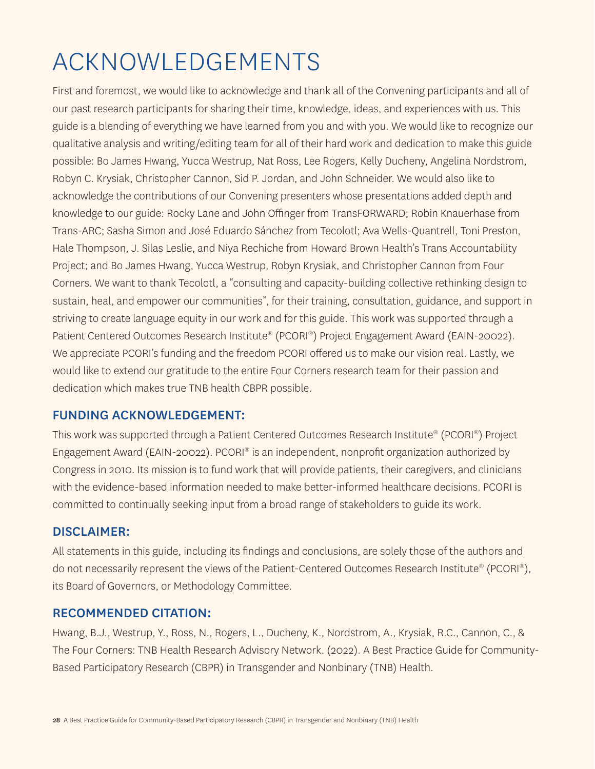# ACKNOWLEDGEMENTS

First and foremost, we would like to acknowledge and thank all of the Convening participants and all of our past research participants for sharing their time, knowledge, ideas, and experiences with us. This guide is a blending of everything we have learned from you and with you. We would like to recognize our qualitative analysis and writing/editing team for all of their hard work and dedication to make this guide possible: Bo James Hwang, Yucca Westrup, Nat Ross, Lee Rogers, Kelly Ducheny, Angelina Nordstrom, Robyn C. Krysiak, Christopher Cannon, Sid P. Jordan, and John Schneider. We would also like to acknowledge the contributions of our Convening presenters whose presentations added depth and knowledge to our guide: Rocky Lane and John Offinger from TransFORWARD; Robin Knauerhase from Trans-ARC; Sasha Simon and José Eduardo Sánchez from Tecolotl; Ava Wells-Quantrell, Toni Preston, Hale Thompson, J. Silas Leslie, and Niya Rechiche from Howard Brown Health's Trans Accountability Project; and Bo James Hwang, Yucca Westrup, Robyn Krysiak, and Christopher Cannon from Four Corners. We want to thank Tecolotl, a "consulting and capacity-building collective rethinking design to sustain, heal, and empower our communities", for their training, consultation, guidance, and support in striving to create language equity in our work and for this guide. This work was supported through a Patient Centered Outcomes Research Institute® (PCORI®) Project Engagement Award (EAIN-20022). We appreciate PCORI's funding and the freedom PCORI offered us to make our vision real. Lastly, we would like to extend our gratitude to the entire Four Corners research team for their passion and dedication which makes true TNB health CBPR possible.

### FUNDING ACKNOWLEDGEMENT:

This work was supported through a Patient Centered Outcomes Research Institute® (PCORI®) Project Engagement Award (EAIN-20022). PCORI® is an independent, nonprofit organization authorized by Congress in 2010. Its mission is to fund work that will provide patients, their caregivers, and clinicians with the evidence-based information needed to make better-informed healthcare decisions. PCORI is committed to continually seeking input from a broad range of stakeholders to guide its work.

### DISCLAIMER:

All statements in this guide, including its findings and conclusions, are solely those of the authors and do not necessarily represent the views of the Patient-Centered Outcomes Research Institute® (PCORI®), its Board of Governors, or Methodology Committee.

### RECOMMENDED CITATION:

Hwang, B.J., Westrup, Y., Ross, N., Rogers, L., Ducheny, K., Nordstrom, A., Krysiak, R.C., Cannon, C., & The Four Corners: TNB Health Research Advisory Network. (2022). A Best Practice Guide for Community-Based Participatory Research (CBPR) in Transgender and Nonbinary (TNB) Health.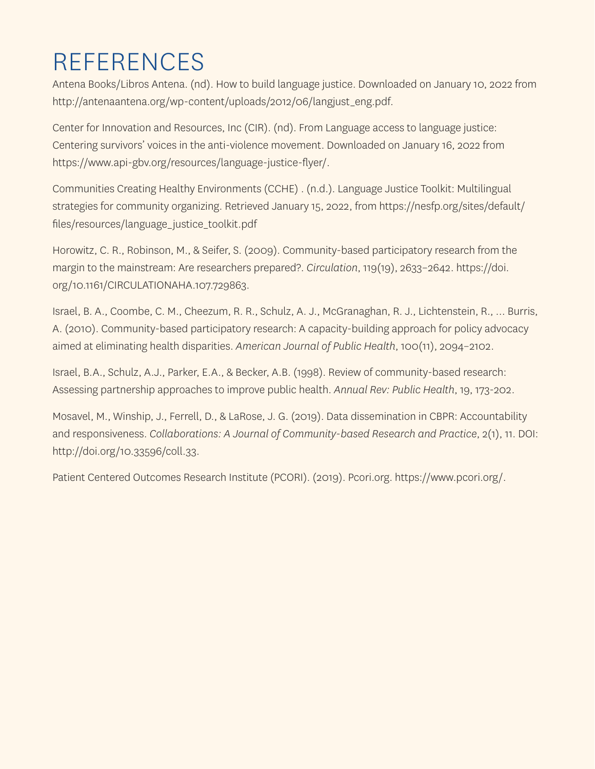# REFERENCES

Antena Books/Libros Antena. (nd). How to build language justice. Downloaded on January 10, 2022 from [http://antenaantena.org/wp-content/uploads/2012/06/langjust\\_eng.pdf.](http://antenaantena.org/wp-content/uploads/2012/06/langjust_eng.pdf)

Center for Innovation and Resources, Inc (CIR). (nd). From Language access to language justice: Centering survivors' voices in the anti-violence movement. Downloaded on January 16, 2022 from <https://www.api-gbv.org/resources/language-justice-flyer/>.

Communities Creating Healthy Environments (CCHE) . (n.d.). Language Justice Toolkit: Multilingual strategies for community organizing. Retrieved January 15, 2022, from [https://nesfp.org/sites/default/](https://nesfp.org/sites/default/files/resources/language_justice_toolkit.pdf) [files/resources/language\\_justice\\_toolkit.pdf](https://nesfp.org/sites/default/files/resources/language_justice_toolkit.pdf)

Horowitz, C. R., Robinson, M., & Seifer, S. (2009). Community-based participatory research from the margin to the mainstream: Are researchers prepared?. *Circulation*, 119(19), 2633–2642. [https://doi.](https://doi.org/10.1161/CIRCULATIONAHA.107.729863) [org/10.1161/CIRCULATIONAHA.107.729863.](https://doi.org/10.1161/CIRCULATIONAHA.107.729863)

Israel, B. A., Coombe, C. M., Cheezum, R. R., Schulz, A. J., McGranaghan, R. J., Lichtenstein, R., … Burris, A. (2010). Community-based participatory research: A capacity-building approach for policy advocacy aimed at eliminating health disparities. *American Journal of Public Health*, 100(11), 2094–2102.

Israel, B.A., Schulz, A.J., Parker, E.A., & Becker, A.B. (1998). Review of community-based research: Assessing partnership approaches to improve public health. *Annual Rev: Public Health*, 19, 173-202.

Mosavel, M., Winship, J., Ferrell, D., & LaRose, J. G. (2019). Data dissemination in CBPR: Accountability and responsiveness. *Collaborations: A Journal of Community-based Research and Practice*, 2(1), 11. DOI: <http://doi.org/10.33596/coll.33>.

Patient Centered Outcomes Research Institute (PCORI). (2019). [Pcori.org.](http://Pcori.org) [https://www.pcori.org/.](https://www.pcori.org/)